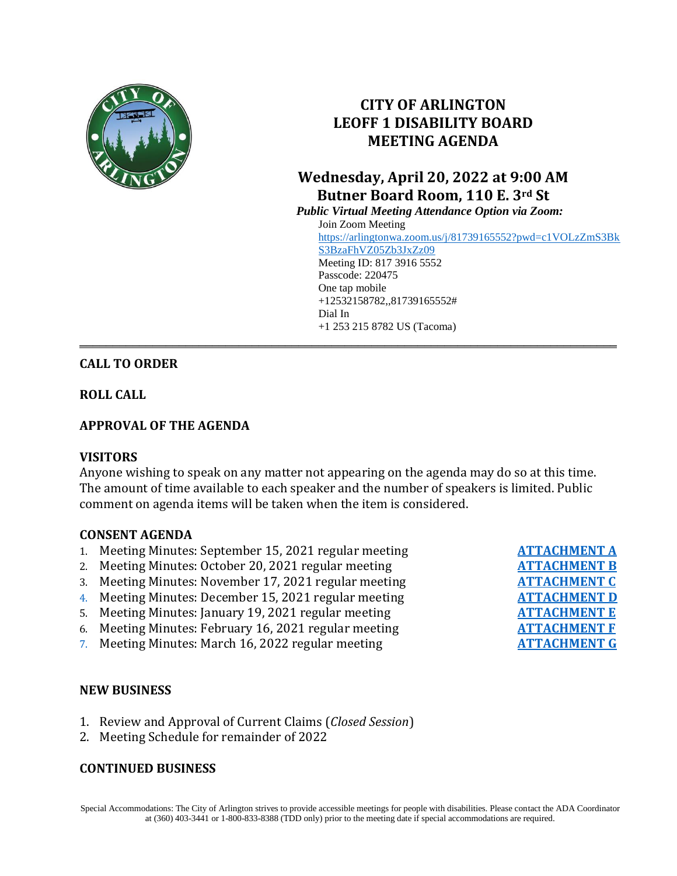

# **CITY OF ARLINGTON LEOFF 1 DISABILITY BOARD MEETING AGENDA**

# **Wednesday, April 20, 2022 at 9:00 AM Butner Board Room, 110 E. 3rd St**

*Public Virtual Meeting Attendance Option via Zoom:* Join Zoom Meeting [https://arlingtonwa.zoom.us/j/81739165552?pwd=c1VOLzZmS3Bk](https://arlingtonwa.zoom.us/j/81739165552?pwd=c1VOLzZmS3BkS3BzaFhVZ05Zb3JxZz09) [S3BzaFhVZ05Zb3JxZz09](https://arlingtonwa.zoom.us/j/81739165552?pwd=c1VOLzZmS3BkS3BzaFhVZ05Zb3JxZz09) Meeting ID: 817 3916 5552 Passcode: 220475 One tap mobile +12532158782,,81739165552# Dial In +1 253 215 8782 US (Tacoma) **\_\_\_\_\_\_\_\_\_\_\_\_\_\_\_\_\_\_\_\_\_\_\_\_\_\_\_\_\_\_\_\_\_\_\_\_\_\_\_\_\_\_\_\_\_\_\_\_\_\_\_\_\_\_\_\_\_\_\_\_\_\_\_\_\_\_\_\_\_\_\_\_\_\_\_\_\_\_\_\_\_**

## **CALL TO ORDER**

**ROLL CALL**

### **APPROVAL OF THE AGENDA**

#### **VISITORS**

Anyone wishing to speak on any matter not appearing on the agenda may do so at this time. The amount of time available to each speaker and the number of speakers is limited. Public comment on agenda items will be taken when the item is considered.

#### **CONSENT AGENDA**

- 1. Meeting Minutes: September 15, 2021 regular meeting
- 2. Meeting Minutes: October 20, 2021 regular meeting
- 3. Meeting Minutes: November 17, 2021 regular meeting
- 4. Meeting Minutes: December 15, 2021 regular meeting
- 5. Meeting Minutes: January 19, 2021 regular meeting
- 6. Meeting Minutes: February 16, 2021 regular meeting
- 7. Meeting Minutes: March 16, 2022 regular meeting

### **NEW BUSINESS**

- 1. Review and Approval of Current Claims (*Closed Session*)
- 2. Meeting Schedule for remainder of 2022

#### **CONTINUED BUSINESS**

Special Accommodations: The City of Arlington strives to provide accessible meetings for people with disabilities. Please contact the ADA Coordinator at (360) 403-3441 or 1-800-833-8388 (TDD only) prior to the meeting date if special accommodations are required.

| <b>ATTACHMENT A</b> |
|---------------------|
| <b>ATTACHMENT B</b> |
| <b>ATTACHMENT C</b> |
| <b>ATTACHMENT D</b> |
| <b>ATTACHMENT E</b> |
| <b>ATTACHMENT F</b> |
| <b>ATTACHMENT G</b> |